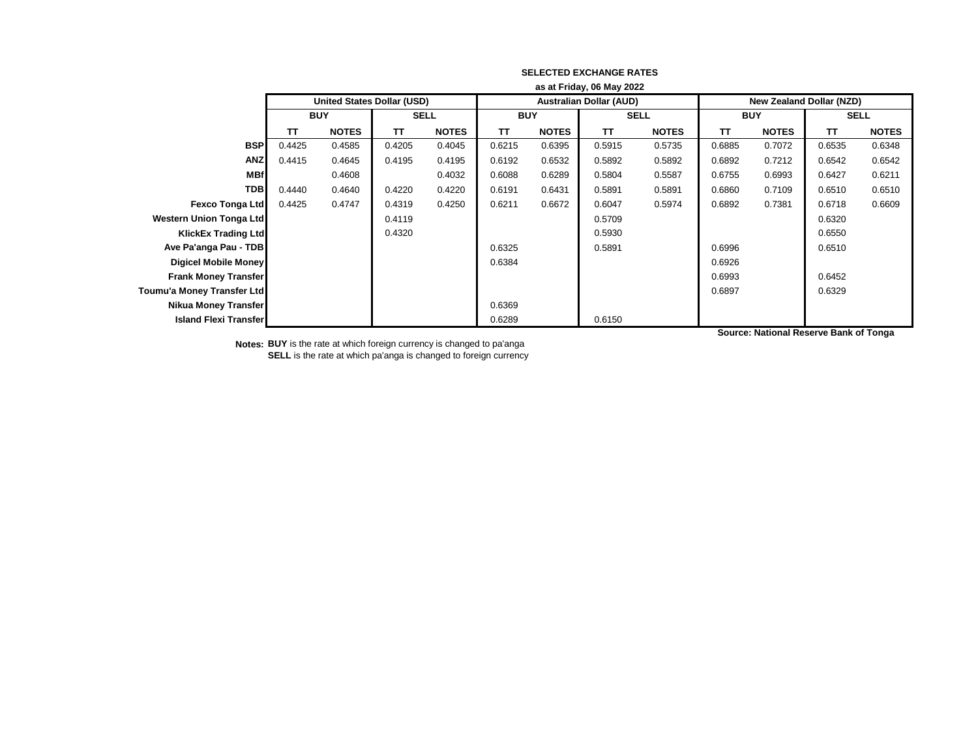|                                | as at Friday, 06 May 2022 |                                   |             |              |        |              |                                |              |                                 |              |        |              |
|--------------------------------|---------------------------|-----------------------------------|-------------|--------------|--------|--------------|--------------------------------|--------------|---------------------------------|--------------|--------|--------------|
|                                |                           | <b>United States Dollar (USD)</b> |             |              |        |              | <b>Australian Dollar (AUD)</b> |              | <b>New Zealand Dollar (NZD)</b> |              |        |              |
|                                | <b>BUY</b>                |                                   | <b>SELL</b> |              |        | <b>BUY</b>   |                                | <b>SELL</b>  |                                 | <b>BUY</b>   |        | <b>SELL</b>  |
|                                | TΤ                        | <b>NOTES</b>                      | TΤ          | <b>NOTES</b> | TΤ     | <b>NOTES</b> | TΤ                             | <b>NOTES</b> | TΤ                              | <b>NOTES</b> | TΤ     | <b>NOTES</b> |
| <b>BSP</b>                     | 0.4425                    | 0.4585                            | 0.4205      | 0.4045       | 0.6215 | 0.6395       | 0.5915                         | 0.5735       | 0.6885                          | 0.7072       | 0.6535 | 0.6348       |
| <b>ANZ</b>                     | 0.4415                    | 0.4645                            | 0.4195      | 0.4195       | 0.6192 | 0.6532       | 0.5892                         | 0.5892       | 0.6892                          | 0.7212       | 0.6542 | 0.6542       |
| <b>MBf</b>                     |                           | 0.4608                            |             | 0.4032       | 0.6088 | 0.6289       | 0.5804                         | 0.5587       | 0.6755                          | 0.6993       | 0.6427 | 0.6211       |
| <b>TDB</b>                     | 0.4440                    | 0.4640                            | 0.4220      | 0.4220       | 0.6191 | 0.6431       | 0.5891                         | 0.5891       | 0.6860                          | 0.7109       | 0.6510 | 0.6510       |
| <b>Fexco Tonga Ltd</b>         | 0.4425                    | 0.4747                            | 0.4319      | 0.4250       | 0.6211 | 0.6672       | 0.6047                         | 0.5974       | 0.6892                          | 0.7381       | 0.6718 | 0.6609       |
| <b>Western Union Tonga Ltd</b> |                           |                                   | 0.4119      |              |        |              | 0.5709                         |              |                                 |              | 0.6320 |              |
| <b>KlickEx Trading Ltdl</b>    |                           |                                   | 0.4320      |              |        |              | 0.5930                         |              |                                 |              | 0.6550 |              |
| Ave Pa'anga Pau - TDB          |                           |                                   |             |              | 0.6325 |              | 0.5891                         |              | 0.6996                          |              | 0.6510 |              |
| <b>Digicel Mobile Money</b>    |                           |                                   |             |              | 0.6384 |              |                                |              | 0.6926                          |              |        |              |
| <b>Frank Money Transfer</b>    |                           |                                   |             |              |        |              |                                |              | 0.6993                          |              | 0.6452 |              |
| Toumu'a Money Transfer Ltd     |                           |                                   |             |              |        |              |                                |              | 0.6897                          |              | 0.6329 |              |
| <b>Nikua Money Transfer</b>    |                           |                                   |             |              | 0.6369 |              |                                |              |                                 |              |        |              |
| <b>Island Flexi Transfer</b>   |                           |                                   |             |              | 0.6289 |              | 0.6150                         |              |                                 |              |        |              |

**Notes: BUY** is the rate at which foreign currency is changed to pa'anga **SELL** is the rate at which pa'anga is changed to foreign currency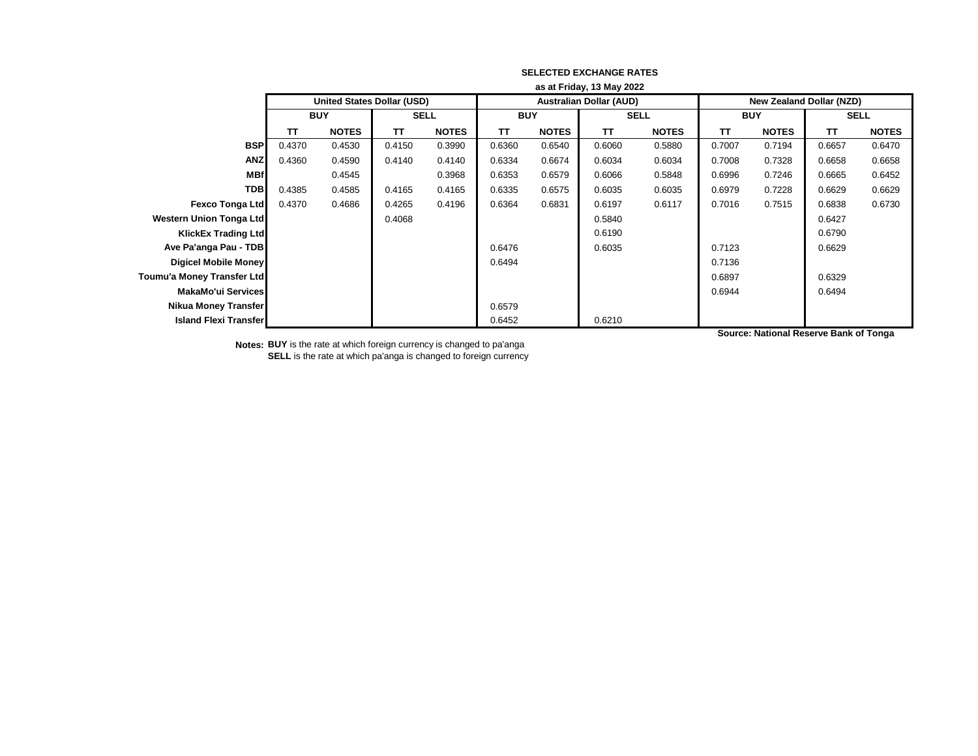|                                | as at Friday, 13 May 2022 |                                   |             |              |            |              |                                |              |                                 |              |             |              |
|--------------------------------|---------------------------|-----------------------------------|-------------|--------------|------------|--------------|--------------------------------|--------------|---------------------------------|--------------|-------------|--------------|
|                                |                           | <b>United States Dollar (USD)</b> |             |              |            |              | <b>Australian Dollar (AUD)</b> |              | <b>New Zealand Dollar (NZD)</b> |              |             |              |
|                                | <b>BUY</b>                |                                   | <b>SELL</b> |              | <b>BUY</b> |              | <b>SELL</b>                    |              | <b>BUY</b>                      |              | <b>SELL</b> |              |
|                                | <b>TT</b>                 | <b>NOTES</b>                      | TΤ          | <b>NOTES</b> | <b>TT</b>  | <b>NOTES</b> | <b>TT</b>                      | <b>NOTES</b> | <b>TT</b>                       | <b>NOTES</b> | <b>TT</b>   | <b>NOTES</b> |
| <b>BSP</b>                     | 0.4370                    | 0.4530                            | 0.4150      | 0.3990       | 0.6360     | 0.6540       | 0.6060                         | 0.5880       | 0.7007                          | 0.7194       | 0.6657      | 0.6470       |
| <b>ANZ</b>                     | 0.4360                    | 0.4590                            | 0.4140      | 0.4140       | 0.6334     | 0.6674       | 0.6034                         | 0.6034       | 0.7008                          | 0.7328       | 0.6658      | 0.6658       |
| <b>MBf</b>                     |                           | 0.4545                            |             | 0.3968       | 0.6353     | 0.6579       | 0.6066                         | 0.5848       | 0.6996                          | 0.7246       | 0.6665      | 0.6452       |
| <b>TDB</b>                     | 0.4385                    | 0.4585                            | 0.4165      | 0.4165       | 0.6335     | 0.6575       | 0.6035                         | 0.6035       | 0.6979                          | 0.7228       | 0.6629      | 0.6629       |
| <b>Fexco Tonga Ltd</b>         | 0.4370                    | 0.4686                            | 0.4265      | 0.4196       | 0.6364     | 0.6831       | 0.6197                         | 0.6117       | 0.7016                          | 0.7515       | 0.6838      | 0.6730       |
| <b>Western Union Tonga Ltd</b> |                           |                                   | 0.4068      |              |            |              | 0.5840                         |              |                                 |              | 0.6427      |              |
| <b>KlickEx Trading Ltd</b>     |                           |                                   |             |              |            |              | 0.6190                         |              |                                 |              | 0.6790      |              |
| Ave Pa'anga Pau - TDB          |                           |                                   |             |              | 0.6476     |              | 0.6035                         |              | 0.7123                          |              | 0.6629      |              |
| <b>Digicel Mobile Money</b>    |                           |                                   |             |              | 0.6494     |              |                                |              | 0.7136                          |              |             |              |
| Toumu'a Money Transfer Ltd     |                           |                                   |             |              |            |              |                                |              | 0.6897                          |              | 0.6329      |              |
| MakaMo'ui Services             |                           |                                   |             |              |            |              |                                |              | 0.6944                          |              | 0.6494      |              |
| Nikua Money Transfer           |                           |                                   |             |              | 0.6579     |              |                                |              |                                 |              |             |              |
| <b>Island Flexi Transfer</b>   |                           |                                   |             |              | 0.6452     |              | 0.6210                         |              |                                 |              |             |              |

**Notes: BUY** is the rate at which foreign currency is changed to pa'anga **SELL** is the rate at which pa'anga is changed to foreign currency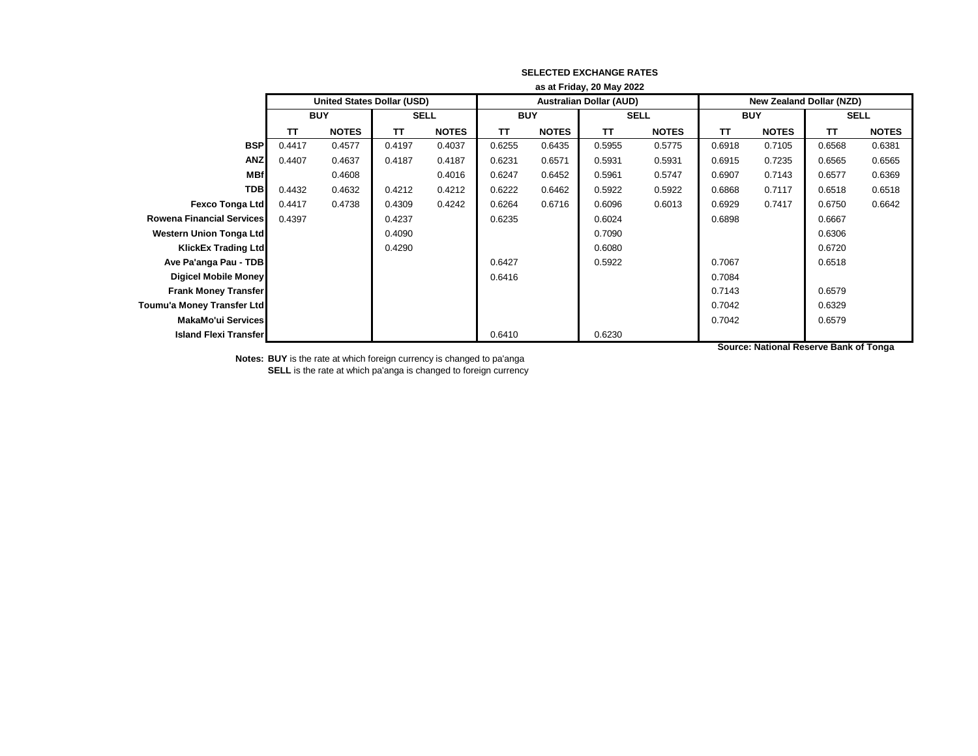|                                  | as at Friday, 20 May 2022 |                                   |             |              |            |              |                                |              |                                 |              |             |              |  |
|----------------------------------|---------------------------|-----------------------------------|-------------|--------------|------------|--------------|--------------------------------|--------------|---------------------------------|--------------|-------------|--------------|--|
|                                  |                           | <b>United States Dollar (USD)</b> |             |              |            |              | <b>Australian Dollar (AUD)</b> |              | <b>New Zealand Dollar (NZD)</b> |              |             |              |  |
|                                  | <b>BUY</b>                |                                   | <b>SELL</b> |              | <b>BUY</b> |              | <b>SELL</b>                    |              | <b>BUY</b>                      |              | <b>SELL</b> |              |  |
|                                  | TΤ                        | <b>NOTES</b>                      | TΤ          | <b>NOTES</b> | <b>TT</b>  | <b>NOTES</b> | TΤ                             | <b>NOTES</b> | <b>TT</b>                       | <b>NOTES</b> | TΤ          | <b>NOTES</b> |  |
| <b>BSP</b>                       | 0.4417                    | 0.4577                            | 0.4197      | 0.4037       | 0.6255     | 0.6435       | 0.5955                         | 0.5775       | 0.6918                          | 0.7105       | 0.6568      | 0.6381       |  |
| <b>ANZ</b>                       | 0.4407                    | 0.4637                            | 0.4187      | 0.4187       | 0.6231     | 0.6571       | 0.5931                         | 0.5931       | 0.6915                          | 0.7235       | 0.6565      | 0.6565       |  |
| <b>MBf</b>                       |                           | 0.4608                            |             | 0.4016       | 0.6247     | 0.6452       | 0.5961                         | 0.5747       | 0.6907                          | 0.7143       | 0.6577      | 0.6369       |  |
| <b>TDB</b>                       | 0.4432                    | 0.4632                            | 0.4212      | 0.4212       | 0.6222     | 0.6462       | 0.5922                         | 0.5922       | 0.6868                          | 0.7117       | 0.6518      | 0.6518       |  |
| <b>Fexco Tonga Ltd</b>           | 0.4417                    | 0.4738                            | 0.4309      | 0.4242       | 0.6264     | 0.6716       | 0.6096                         | 0.6013       | 0.6929                          | 0.7417       | 0.6750      | 0.6642       |  |
| <b>Rowena Financial Services</b> | 0.4397                    |                                   | 0.4237      |              | 0.6235     |              | 0.6024                         |              | 0.6898                          |              | 0.6667      |              |  |
| <b>Western Union Tonga Ltd</b>   |                           |                                   | 0.4090      |              |            |              | 0.7090                         |              |                                 |              | 0.6306      |              |  |
| <b>KlickEx Trading Ltd</b>       |                           |                                   | 0.4290      |              |            |              | 0.6080                         |              |                                 |              | 0.6720      |              |  |
| Ave Pa'anga Pau - TDB            |                           |                                   |             |              | 0.6427     |              | 0.5922                         |              | 0.7067                          |              | 0.6518      |              |  |
| <b>Digicel Mobile Money</b>      |                           |                                   |             |              | 0.6416     |              |                                |              | 0.7084                          |              |             |              |  |
| <b>Frank Money Transfer</b>      |                           |                                   |             |              |            |              |                                |              | 0.7143                          |              | 0.6579      |              |  |
| Toumu'a Money Transfer Ltd       |                           |                                   |             |              |            |              |                                |              | 0.7042                          |              | 0.6329      |              |  |
| MakaMo'ui Services               |                           |                                   |             |              |            |              |                                |              | 0.7042                          |              | 0.6579      |              |  |
| <b>Island Flexi Transfer</b>     |                           |                                   |             |              | 0.6410     |              | 0.6230                         |              |                                 |              |             |              |  |

**Notes: BUY** is the rate at which foreign currency is changed to pa'anga **SELL** is the rate at which pa'anga is changed to foreign currency